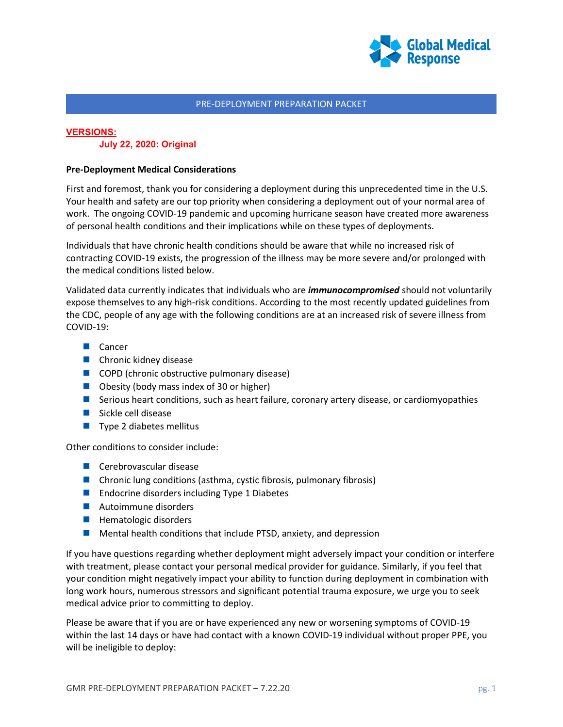

## **VERSIONS:**

**July 22, 2020: Original**

## **Pre-Deployment Medical Considerations**

First and foremost, thank you for considering a deployment during this unprecedented time in the U.S. Your health and safety are our top priority when considering a deployment out of your normal area of work. The ongoing COVID-19 pandemic and upcoming hurricane season have created more awareness of personal health conditions and their implications while on these types of deployments.

Individuals that have chronic health conditions should be aware that while no increased risk of contracting COVID-19 exists, the progression of the illness may be more severe and/or prolonged with the medical conditions listed below.

Validated data currently indicates that individuals who are *immunocompromised* should not voluntarily expose themselves to any high-risk conditions. According to the most recently updated guidelines from the CDC, people of any age with the following conditions are at an increased risk of severe illness from COVID-19:

- **Cancer**
- **Chronic kidney disease**
- COPD (chronic obstructive pulmonary disease)
- Obesity (body mass index of 30 or higher)
- **Serious heart conditions, such as heart failure, coronary artery disease, or cardiomyopathies**
- Sickle cell disease
- $\blacksquare$  Type 2 diabetes mellitus

Other conditions to consider include:

- **Cerebrovascular disease**
- Chronic lung conditions (asthma, cystic fibrosis, pulmonary fibrosis)
- **Endocrine disorders including Type 1 Diabetes**
- **Autoimmune disorders**
- **Hematologic disorders**
- $\blacksquare$  Mental health conditions that include PTSD, anxiety, and depression

If you have questions regarding whether deployment might adversely impact your condition or interfere with treatment, please contact your personal medical provider for guidance. Similarly, if you feel that your condition might negatively impact your ability to function during deployment in combination with long work hours, numerous stressors and significant potential trauma exposure, we urge you to seek medical advice prior to committing to deploy.

Please be aware that if you are or have experienced any new or worsening symptoms of COVID-19 within the last 14 days or have had contact with a known COVID-19 individual without proper PPE, you will be ineligible to deploy: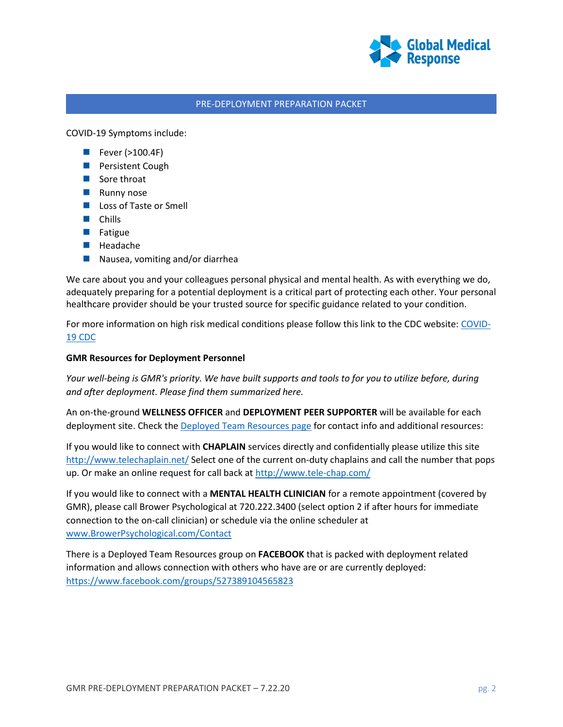

COVID-19 Symptoms include:

- $\blacksquare$  Fever (>100.4F)
- **Persistent Cough**
- Sore throat
- **Runny nose**
- **Loss of Taste or Smell**
- Chills
- **Fatigue**
- **Headache**
- Nausea, vomiting and/or diarrhea

We care about you and your colleagues personal physical and mental health. As with everything we do, adequately preparing for a potential deployment is a critical part of protecting each other. Your personal healthcare provider should be your trusted source for specific guidance related to your condition.

For more information on high risk medical conditions please follow this link to the CDC website: [COVID-](https://www.cdc.gov/coronavirus/2019-ncov/need-extra-precautions/people-with-medical-conditions.html?CDC_AA_refVal=https%3A%2F%2Fwww.cdc.gov%2Fcoronavirus%2F2019-ncov%2Fneed-extra-precautions%2Fgroups-at-higher-risk.html)[19 CDC](https://www.cdc.gov/coronavirus/2019-ncov/need-extra-precautions/people-with-medical-conditions.html?CDC_AA_refVal=https%3A%2F%2Fwww.cdc.gov%2Fcoronavirus%2F2019-ncov%2Fneed-extra-precautions%2Fgroups-at-higher-risk.html)

#### **GMR Resources for Deployment Personnel**

*Your well-being is GMR's priority. We have built supports and tools to for you to utilize before, during and after deployment. Please find them summarized here.*

An on-the-ground **WELLNESS OFFICER** and **DEPLOYMENT PEER SUPPORTER** will be available for each deployment site. Check th[e Deployed Team Resources page](https://www.globalmedicalresponse.com/deployed-team-resources) for contact info and additional resources:

If you would like to connect with **CHAPLAIN** services directly and confidentially please utilize this site <http://www.telechaplain.net/> Select one of the current on-duty chaplains and call the number that pops up. Or make an online request for call back a[t http://www.tele-chap.com/](http://www.tele-chap.com/)

If you would like to connect with a **MENTAL HEALTH CLINICIAN** for a remote appointment (covered by GMR), please call Brower Psychological at 720.222.3400 (select option 2 if after hours for immediate connection to the on-call clinician) or schedule via the online scheduler at [www.BrowerPsychological.com/Contact](http://www.browerpsychological.com/Contact)

There is a Deployed Team Resources group on **FACEBOOK** that is packed with deployment related information and allows connection with others who have are or are currently deployed: <https://www.facebook.com/groups/527389104565823>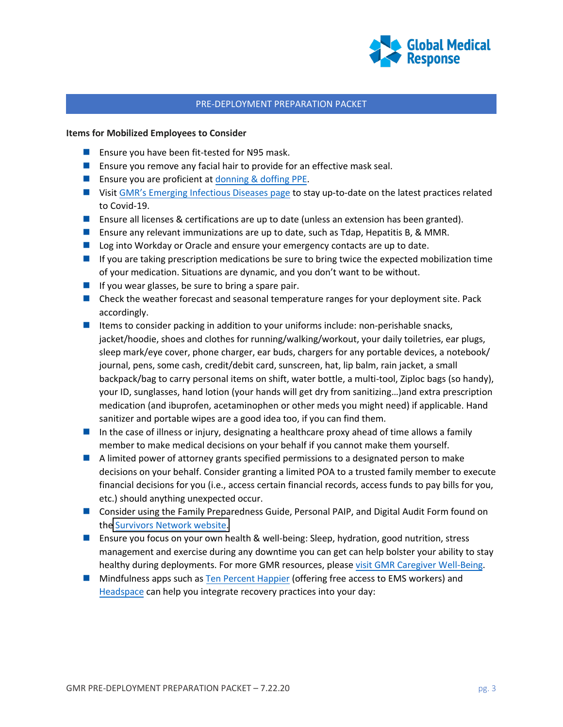

#### **Items for Mobilized Employees to Consider**

- **Example 2** Ensure you have been fit-tested for N95 mask.
- **Ensure you remove any facial hair to provide for an effective mask seal.**
- **Ensure you are proficient at [donning & doffing PPE.](https://www.youtube.com/watch?v=t1lxq2OUy-U)**
- **U** Visit [GMR's Emerging Infectious](https://www.globalmedicalresponse.com/coronavirus) Diseases page to stay up-to-date on the latest practices related to Covid-19.
- **E** Ensure all licenses & certifications are up to date (unless an extension has been granted).
- Ensure any relevant immunizations are up to date, such as Tdap, Hepatitis B, & MMR.
- **Log into Workday or Oracle and ensure your emergency contacts are up to date.**
- If you are taking prescription medications be sure to bring twice the expected mobilization time of your medication. Situations are dynamic, and you don't want to be without.
- If you wear glasses, be sure to bring a spare pair.
- Check the weather forecast and seasonal temperature ranges for your deployment site. Pack accordingly.
- Items to consider packing in addition to your uniforms include: non-perishable snacks, jacket/hoodie, shoes and clothes for running/walking/workout, your daily toiletries, ear plugs, sleep mark/eye cover, phone charger, ear buds, chargers for any portable devices, a notebook/ journal, pens, some cash, credit/debit card, sunscreen, hat, lip balm, rain jacket, a small backpack/bag to carry personal items on shift, water bottle, a multi-tool, Ziploc bags (so handy), your ID, sunglasses, hand lotion (your hands will get dry from sanitizing…)and extra prescription medication (and ibuprofen, acetaminophen or other meds you might need) if applicable. Hand sanitizer and portable wipes are a good idea too, if you can find them.
- In the case of illness or injury, designating a healthcare proxy ahead of time allows a family member to make medical decisions on your behalf if you cannot make them yourself.
- A limited power of attorney grants specified permissions to a designated person to make decisions on your behalf. Consider granting a limited POA to a trusted family member to execute financial decisions for you (i.e., access certain financial records, access funds to pay bills for you, etc.) should anything unexpected occur.
- Consider using the Family Preparedness Guide, Personal PAIP, and Digital Audit Form found on the Survivors [Network website.](https://www.survivorsnetwork-airmedical.org/)
- **E** Ensure you focus on your own health & well-being: Sleep, hydration, good nutrition, stress management and exercise during any downtime you can get can help bolster your ability to stay healthy during deployments. For more GMR resources, please visit [GMR Caregiver Well-Being.](https://www.globalmedicalresponse.com/resources/caregiver-well-being)
- **Mindfulness apps such as [Ten Percent Happier](https://www.tenpercent.com/coronavirussanityguide) (offering free access to EMS workers) and** [Headspace](https://www.headspace.com/) can help you integrate recovery practices into your day: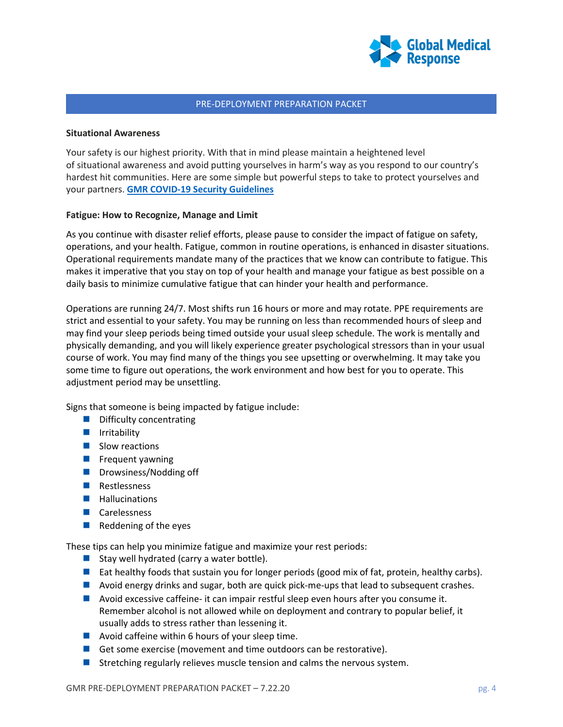

#### **Situational Awareness**

Your safety is our highest priority. With that in mind please maintain a heightened level of situational awareness and avoid putting yourselves in harm's way as you respond to our country's hardest hit communities. Here are some simple but powerful steps to take to protect yourselves and your partners. **[GMR COVID-19 Security Guidelines](https://staging-myportal.amr.net/CMSPages/Newsletters/GetEmailBrowserContent.ashx?issueGuid=7947561b-e19c-4dfd-8aa4-fab05f7829e8&recipientEmail=Steven.Dralle%40gmr.net&hash=1bbce48e4f95efab8b5ffbed5b451e8c463b2b58736fc6fbe6266fc67695edb9)**

## **Fatigue: How to Recognize, Manage and Limit**

As you continue with disaster relief efforts, please pause to consider the impact of fatigue on safety, operations, and your health. Fatigue, common in routine operations, is enhanced in disaster situations. Operational requirements mandate many of the practices that we know can contribute to fatigue. This makes it imperative that you stay on top of your health and manage your fatigue as best possible on a daily basis to minimize cumulative fatigue that can hinder your health and performance.

Operations are running 24/7. Most shifts run 16 hours or more and may rotate. PPE requirements are strict and essential to your safety. You may be running on less than recommended hours of sleep and may find your sleep periods being timed outside your usual sleep schedule. The work is mentally and physically demanding, and you will likely experience greater psychological stressors than in your usual course of work. You may find many of the things you see upsetting or overwhelming. It may take you some time to figure out operations, the work environment and how best for you to operate. This adjustment period may be unsettling.

Signs that someone is being impacted by fatigue include:

- $\blacksquare$  Difficulty concentrating
- $\blacksquare$  Irritability
- $\blacksquare$  Slow reactions
- $\blacksquare$  Frequent yawning
- $\blacksquare$  Drowsiness/Nodding off
- **Restlessness**
- **Hallucinations**
- **Carelessness**
- $\blacksquare$  Reddening of the eyes

These tips can help you minimize fatigue and maximize your rest periods:

- Stay well hydrated (carry a water bottle).
- Eat healthy foods that sustain you for longer periods (good mix of fat, protein, healthy carbs).
- **Avoid energy drinks and sugar, both are quick pick-me-ups that lead to subsequent crashes.**
- Avoid excessive caffeine- it can impair restful sleep even hours after you consume it. Remember alcohol is not allowed while on deployment and contrary to popular belief, it usually adds to stress rather than lessening it.
- **Avoid caffeine within 6 hours of your sleep time.**
- Get some exercise (movement and time outdoors can be restorative).
- **Stretching regularly relieves muscle tension and calms the nervous system.**